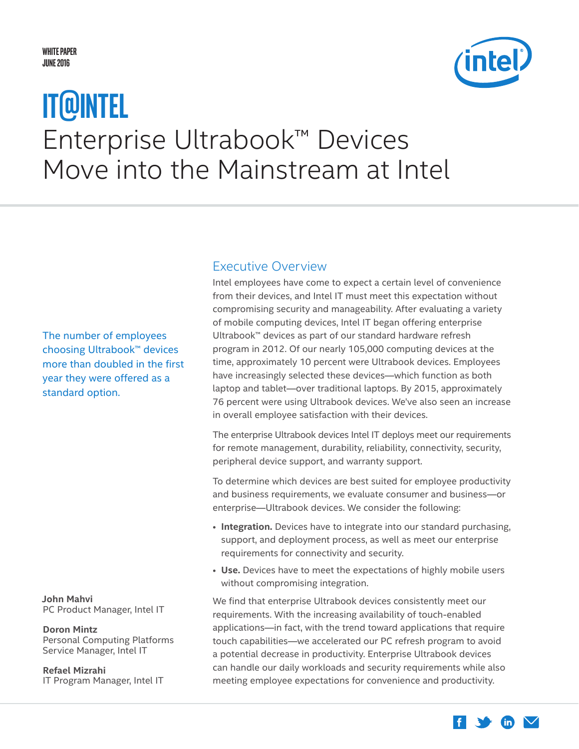#### <span id="page-0-0"></span>**White Paper JUNE 2016**



# Enterprise Ultrabook™ Devices Move into the Mainstream at Intel **IT@Intel**

The number of employees choosing Ultrabook™ devices more than doubled in the first year they were offered as a standard option.

**John Mahvi** PC Product Manager, Intel IT

#### **Doron Mintz**

Personal Computing Platforms Service Manager, Intel IT

**Refael Mizrahi** IT Program Manager, Intel IT

### Executive Overview

Intel employees have come to expect a certain level of convenience from their devices, and Intel IT must meet this expectation without compromising security and manageability. After evaluating a variety of mobile computing devices, Intel IT began offering enterprise Ultrabook™ devices as part of our standard hardware refresh program in 2012. Of our nearly 105,000 computing devices at the time, approximately 10 percent were Ultrabook devices. Employees have increasingly selected these devices—which function as both laptop and tablet—over traditional laptops. By 2015, approximately 76 percent were using Ultrabook devices. We've also seen an increase in overall employee satisfaction with their devices.

The enterprise Ultrabook devices Intel IT deploys meet our requirements for remote management, durability, reliability, connectivity, security, peripheral device support, and warranty support.

To determine which devices are best suited for employee productivity and business requirements, we evaluate consumer and business—or enterprise—Ultrabook devices. We consider the following:

- **Integration.** Devices have to integrate into our standard purchasing, support, and deployment process, as well as meet our enterprise requirements for connectivity and security.
- **Use.** Devices have to meet the expectations of highly mobile users without compromising integration.

We find that enterprise Ultrabook devices consistently meet our requirements. With the increasing availability of touch-enabled applications—in fact, with the trend toward applications that require touch capabilities—we accelerated our PC refresh program to avoid a potential decrease in productivity. Enterprise Ultrabook devices can handle our daily workloads and security requirements while also meeting employee expectations for convenience and productivity.

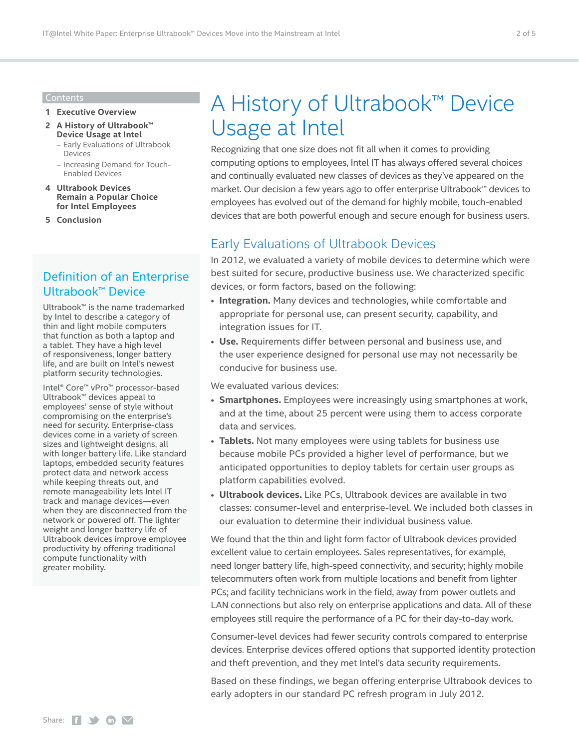#### Contents

- **1 [Executive Overview](#page-0-0)**
- **2 A History of Ultrabook™ Device Usage at Intel**
	- Early Evaluations of Ultrabook Devices
	- [Increasing Demand for Touch-](#page-2-0)[Enabled Devices](#page-2-0)
- **4 [Ultrabook Devices](#page-3-0)  [Remain a Popular Choice](#page-3-0)  [for Intel Employees](#page-3-0)**
- **5 [Conclusion](#page-4-0)**

## Definition of an Enterprise Ultrabook™ Device

Ultrabook™ is the name trademarked by Intel to describe a category of thin and light mobile computers that function as both a laptop and a tablet. They have a high level of responsiveness, longer battery life, and are built on Intel's newest platform security technologies.

Intel® Core™ vPro™ processor-based Ultrabook™ devices appeal to employees' sense of style without compromising on the enterprise's need for security. Enterprise-class devices come in a variety of screen sizes and lightweight designs, all with longer battery life. Like standard laptops, embedded security features protect data and network access while keeping threats out, and remote manageability lets Intel IT track and manage devices—even when they are disconnected from the network or powered off. The lighter weight and longer battery life of Ultrabook devices improve employee productivity by offering traditional compute functionality with greater mobility.

## A History of Ultrabook™ Device Usage at Intel

Recognizing that one size does not fit all when it comes to providing computing options to employees, Intel IT has always offered several choices and continually evaluated new classes of devices as they've appeared on the market. Our decision a few years ago to offer enterprise Ultrabook™ devices to employees has evolved out of the demand for highly mobile, touch-enabled devices that are both powerful enough and secure enough for business users.

## Early Evaluations of Ultrabook Devices

In 2012, we evaluated a variety of mobile devices to determine which were best suited for secure, productive business use. We characterized specific devices, or form factors, based on the following:

- **Integration.** Many devices and technologies, while comfortable and appropriate for personal use, can present security, capability, and integration issues for IT.
- **Use.** Requirements differ between personal and business use, and the user experience designed for personal use may not necessarily be conducive for business use.

We evaluated various devices:

- **Smartphones.** Employees were increasingly using smartphones at work, and at the time, about 25 percent were using them to access corporate data and services.
- **Tablets.** Not many employees were using tablets for business use because mobile PCs provided a higher level of performance, but we anticipated opportunities to deploy tablets for certain user groups as platform capabilities evolved.
- **Ultrabook devices.** Like PCs, Ultrabook devices are available in two classes: consumer-level and enterprise-level. We included both classes in our evaluation to determine their individual business value.

We found that the thin and light form factor of Ultrabook devices provided excellent value to certain employees. Sales representatives, for example, need longer battery life, high-speed connectivity, and security; highly mobile telecommuters often work from multiple locations and benefit from lighter PCs; and facility technicians work in the field, away from power outlets and LAN connections but also rely on enterprise applications and data. All of these employees still require the performance of a PC for their day-to-day work.

Consumer-level devices had fewer security controls compared to enterprise devices. Enterprise devices offered options that supported identity protection and theft prevention, and they met Intel's data security requirements.

Based on these findings, we began offering enterprise Ultrabook devices to early adopters in our standard PC refresh program in July 2012.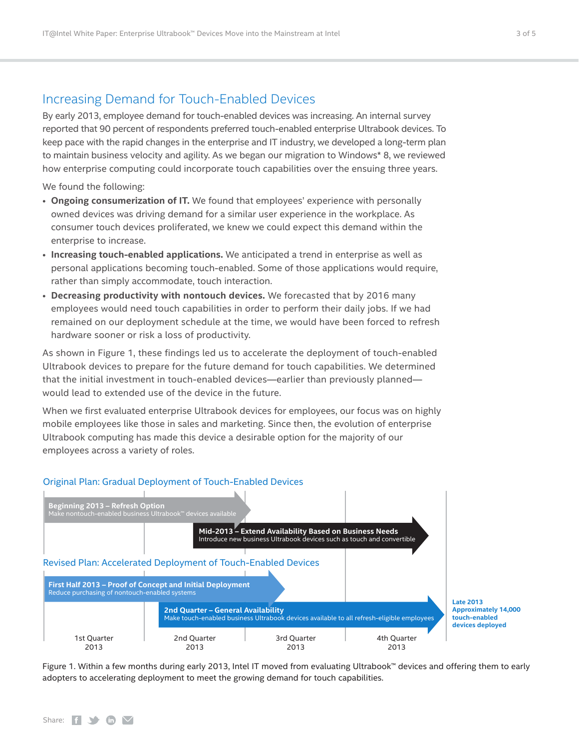### <span id="page-2-0"></span>Increasing Demand for Touch-Enabled Devices

By early 2013, employee demand for touch-enabled devices was increasing. An internal survey reported that 90 percent of respondents preferred touch-enabled enterprise Ultrabook devices. To keep pace with the rapid changes in the enterprise and IT industry, we developed a long-term plan to maintain business velocity and agility. As we began our migration to Windows\* 8, we reviewed how enterprise computing could incorporate touch capabilities over the ensuing three years.

We found the following:

- **Ongoing consumerization of IT.** We found that employees' experience with personally owned devices was driving demand for a similar user experience in the workplace. As consumer touch devices proliferated, we knew we could expect this demand within the enterprise to increase.
- **Increasing touch-enabled applications.** We anticipated a trend in enterprise as well as personal applications becoming touch-enabled. Some of those applications would require, rather than simply accommodate, touch interaction.
- **Decreasing productivity with nontouch devices.** We forecasted that by 2016 many employees would need touch capabilities in order to perform their daily jobs. If we had remained on our deployment schedule at the time, we would have been forced to refresh hardware sooner or risk a loss of productivity.

As shown in Figure 1, these findings led us to accelerate the deployment of touch-enabled Ultrabook devices to prepare for the future demand for touch capabilities. We determined that the initial investment in touch-enabled devices—earlier than previously planned would lead to extended use of the device in the future.

When we first evaluated enterprise Ultrabook devices for employees, our focus was on highly mobile employees like those in sales and marketing. Since then, the evolution of enterprise Ultrabook computing has made this device a desirable option for the majority of our employees across a variety of roles.



**Approximately 14,000**

Figure 1. Within a few months during early 2013, Intel IT moved from evaluating Ultrabook™ devices and offering them to early adopters to accelerating deployment to meet the growing demand for touch capabilities.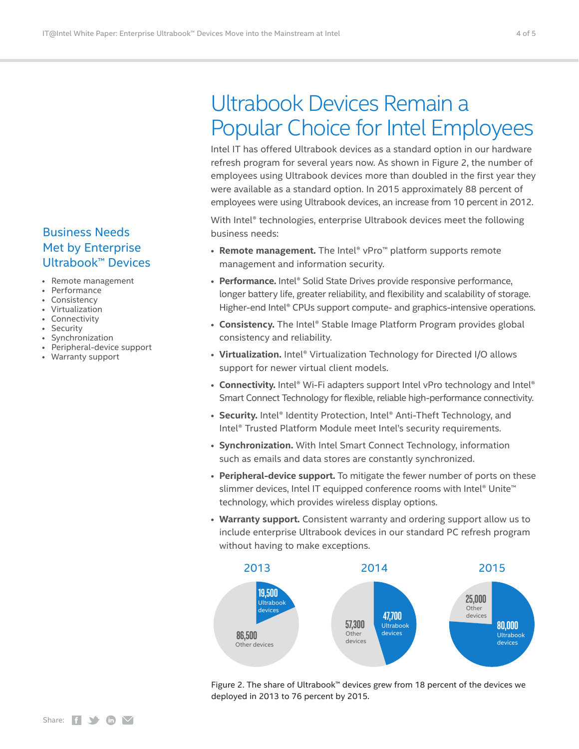## Business Needs Met by Enterprise Ultrabook™ Devices

- Remote management
- Performance
- Consistency
- Virtualization
- Connectivity
- Security
- Synchronization
- Peripheral-device support
- Warranty support

## <span id="page-3-0"></span>Ultrabook Devices Remain a Popular Choice for Intel Employees

Intel IT has offered Ultrabook devices as a standard option in our hardware refresh program for several years now. As shown in Figure 2, the number of employees using Ultrabook devices more than doubled in the first year they were available as a standard option. In 2015 approximately 88 percent of employees were using Ultrabook devices, an increase from 10 percent in 2012.

With Intel® technologies, enterprise Ultrabook devices meet the following business needs:

- **Remote management.** The Intel® vPro™ platform supports remote management and information security.
- **Performance.** Intel® Solid State Drives provide responsive performance, longer battery life, greater reliability, and flexibility and scalability of storage. Higher-end Intel® CPUs support compute- and graphics-intensive operations.
- **Consistency.** The Intel® Stable Image Platform Program provides global consistency and reliability.
- **Virtualization.** Intel® Virtualization Technology for Directed I/O allows support for newer virtual client models.
- **Connectivity.** Intel® Wi-Fi adapters support Intel vPro technology and Intel® Smart Connect Technology for flexible, reliable high-performance connectivity.
- **Security.** Intel® Identity Protection, Intel® Anti-Theft Technology, and Intel® Trusted Platform Module meet Intel's security requirements.
- **Synchronization.** With Intel Smart Connect Technology, information such as emails and data stores are constantly synchronized.
- **Peripheral-device support.** To mitigate the fewer number of ports on these slimmer devices, Intel IT equipped conference rooms with Intel® Unite<sup>™</sup> technology, which provides wireless display options.
- **Warranty support.** Consistent warranty and ordering support allow us to include enterprise Ultrabook devices in our standard PC refresh program without having to make exceptions.



Figure 2. The share of Ultrabook™ devices grew from 18 percent of the devices we deployed in 2013 to 76 percent by 2015.